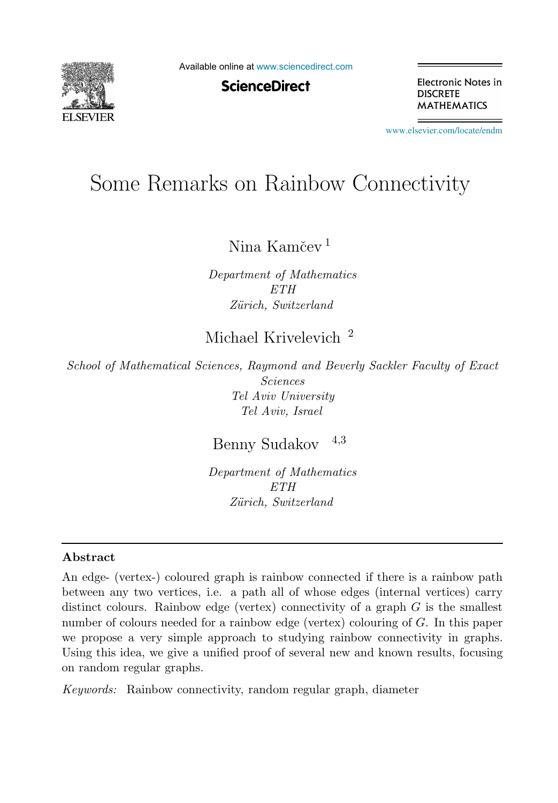

Available online at [www.sciencedirect.com](http://www.sciencedirect.com)

**ScienceDirect** 

Electronic Notes in **DISCRETE MATHEMATICS** 

[www.elsevier.com/locate/endm](http://www.elsevier.com/locate/endm)

# Some Remarks on Rainbow Connectivity

Nina Kamčev<sup>1</sup>

*Department of Mathematics ETH Z¨urich, Switzerland*

# Michael Krivelevich <sup>2</sup>

*School of Mathematical Sciences, Raymond and Beverly Sackler Faculty of Exact Sciences Tel Aviv University Tel Aviv, Israel*

# Benny Sudakov  $4,3$

*Department of Mathematics ETH Z¨urich, Switzerland*

#### Abstract

An edge- (vertex-) coloured graph is rainbow connected if there is a rainbow path between any two vertices, i.e. a path all of whose edges (internal vertices) carry distinct colours. Rainbow edge (vertex) connectivity of a graph  $G$  is the smallest number of colours needed for a rainbow edge (vertex) colouring of G. In this paper we propose a very simple approach to studying rainbow connectivity in graphs. Using this idea, we give a unified proof of several new and known results, focusing on random regular graphs.

*Keywords:* Rainbow connectivity, random regular graph, diameter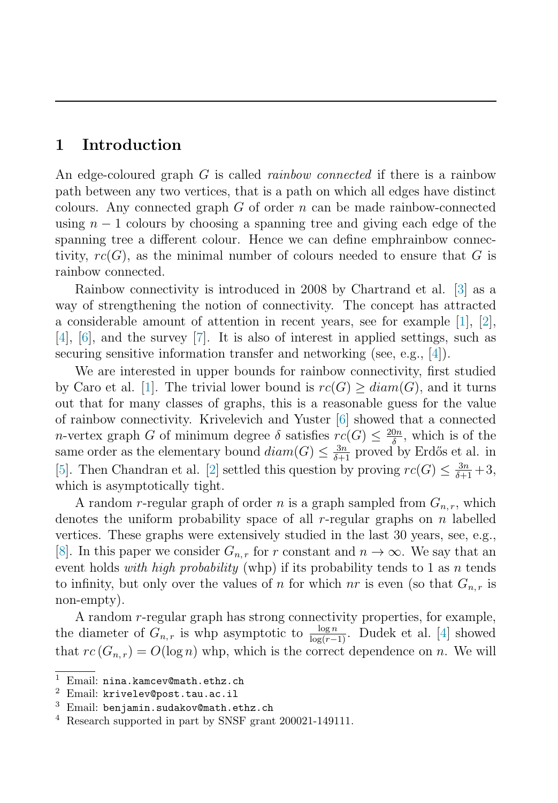# 1 Introduction

An edge-coloured graph G is called *rainbow connected* if there is a rainbow path between any two vertices, that is a path on which all edges have distinct colours. Any connected graph  $G$  of order  $n$  can be made rainbow-connected using  $n-1$  colours by choosing a spanning tree and giving each edge of the spanning tree a different colour. Hence we can define emphrainbow connectivity,  $rc(G)$ , as the minimal number of colours needed to ensure that G is rainbow connected.

Rainbow connectivity is introduced in 2008 by Chartrand et al. [\[3\]](#page-7-0) as a way of strengthening the notion of connectivity. The concept has attracted a considerable amount of attention in recent years, see for example [\[1\]](#page-7-1), [\[2\]](#page-7-2), [\[4\]](#page-8-0), [\[6\]](#page-8-1), and the survey [\[7\]](#page-8-2). It is also of interest in applied settings, such as securing sensitive information transfer and networking (see, e.g., [\[4\]](#page-8-0)).

We are interested in upper bounds for rainbow connectivity, first studied by Caro et al. [\[1\]](#page-7-1). The trivial lower bound is  $rc(G) > diam(G)$ , and it turns out that for many classes of graphs, this is a reasonable guess for the value of rainbow connectivity. Krivelevich and Yuster [\[6\]](#page-8-1) showed that a connected n-vertex graph G of minimum degree  $\delta$  satisfies  $rc(G) \leq \frac{20n}{\delta}$ , which is of the same order as the elementary bound  $diam(G) \leq \frac{3n}{\delta+1}$  proved by Erdős et al. in [\[5\]](#page-8-3). Then Chandran et al. [\[2\]](#page-7-2) settled this question by proving  $rc(G) \leq \frac{3n}{\delta+1} + 3$ , which is asymptotically tight.

A random r-regular graph of order n is a graph sampled from  $G_{n,r}$ , which denotes the uniform probability space of all r-regular graphs on  $n$  labelled vertices. These graphs were extensively studied in the last 30 years, see, e.g., [\[8\]](#page-8-4). In this paper we consider  $G_{n,r}$  for r constant and  $n \to \infty$ . We say that an event holds with high probability (whp) if its probability tends to 1 as n tends to infinity, but only over the values of n for which nr is even (so that  $G_{n,r}$  is non-empty).

A random r-regular graph has strong connectivity properties, for example, the diameter of  $G_{n,r}$  is whp asymptotic to  $\frac{\log n}{\log(r-1)}$ . Dudek et al. [\[4\]](#page-8-0) showed that  $rc(G_{n,r}) = O(\log n)$  whp, which is the correct dependence on n. We will

<sup>&</sup>lt;sup>1</sup> Email: nina.kamcev@math.ethz.ch  $^2$  Email: krivelev@post.tau.ac.il

 $3$  Email: benjamin.sudakov@math.ethz.ch

<sup>4</sup> Research supported in part by SNSF grant 200021-149111.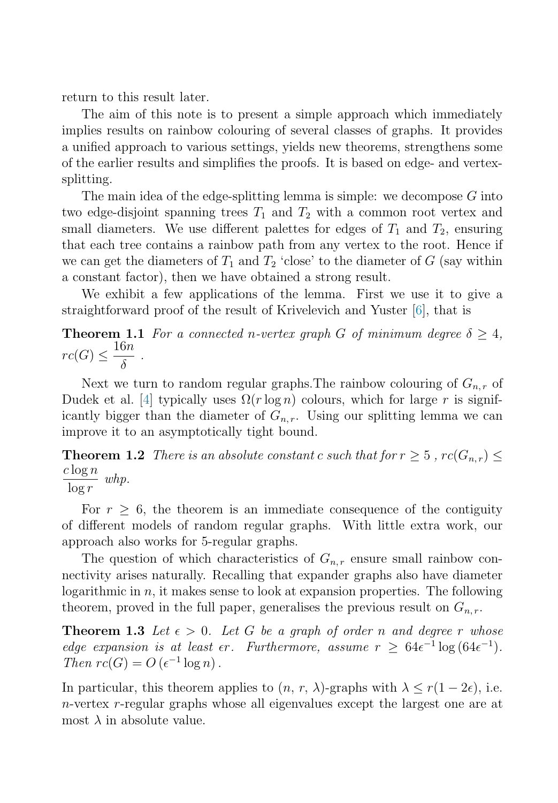return to this result later.

The aim of this note is to present a simple approach which immediately implies results on rainbow colouring of several classes of graphs. It provides a unified approach to various settings, yields new theorems, strengthens some of the earlier results and simplifies the proofs. It is based on edge- and vertexsplitting.

The main idea of the edge-splitting lemma is simple: we decompose  $G$  into two edge-disjoint spanning trees  $T_1$  and  $T_2$  with a common root vertex and small diameters. We use different palettes for edges of  $T_1$  and  $T_2$ , ensuring that each tree contains a rainbow path from any vertex to the root. Hence if we can get the diameters of  $T_1$  and  $T_2$  'close' to the diameter of G (say within a constant factor), then we have obtained a strong result.

<span id="page-2-1"></span>We exhibit a few applications of the lemma. First we use it to give a straightforward proof of the result of Krivelevich and Yuster [\[6\]](#page-8-1), that is

**Theorem 1.1** For a connected n-vertex graph G of minimum degree  $\delta \geq 4$ ,  $rc(G) \leq \frac{16n}{s}$  $rac{\delta}{\delta}$ .

<span id="page-2-0"></span>Next we turn to random regular graphs. The rainbow colouring of  $G_{n,r}$  of Dudek et al. [\[4\]](#page-8-0) typically uses  $\Omega(r \log n)$  colours, which for large r is significantly bigger than the diameter of  $G_{n,r}$ . Using our splitting lemma we can improve it to an asymptotically tight bound.

**Theorem 1.2** There is an absolute constant c such that for  $r \geq 5$ ,  $rc(G_{n,r}) \leq$  $c \log n$  $\frac{\log r}{\log r}$  whp.

For  $r \geq 6$ , the theorem is an immediate consequence of the contiguity of different models of random regular graphs. With little extra work, our approach also works for 5-regular graphs.

The question of which characteristics of  $G_{n,r}$  ensure small rainbow connectivity arises naturally. Recalling that expander graphs also have diameter logarithmic in  $n$ , it makes sense to look at expansion properties. The following theorem, proved in the full paper, generalises the previous result on  $G_{n,r}$ .

**Theorem 1.3** Let  $\epsilon > 0$ . Let G be a graph of order n and degree r whose edge expansion is at least  $\epsilon r$ . Furthermore, assume  $r \geq 64\epsilon^{-1} \log(64\epsilon^{-1})$ . Then  $rc(G) = O(\epsilon^{-1} \log n)$ .

In particular, this theorem applies to  $(n, r, \lambda)$ -graphs with  $\lambda \leq r(1-2\epsilon)$ , i.e. n-vertex r-regular graphs whose all eigenvalues except the largest one are at most  $\lambda$  in absolute value.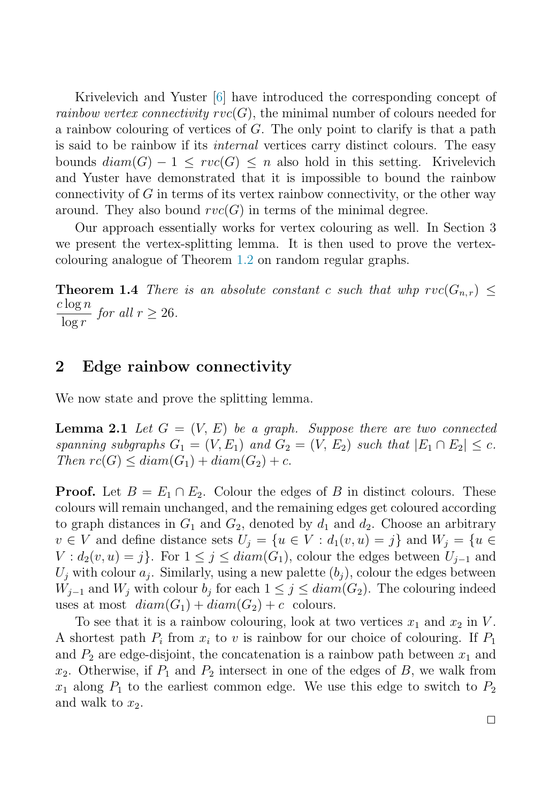Krivelevich and Yuster [\[6\]](#page-8-1) have introduced the corresponding concept of rainbow vertex connectivity  $rvc(G)$ , the minimal number of colours needed for a rainbow colouring of vertices of  $G$ . The only point to clarify is that a path is said to be rainbow if its internal vertices carry distinct colours. The easy bounds  $diam(G) - 1 \leq rvc(G) \leq n$  also hold in this setting. Krivelevich and Yuster have demonstrated that it is impossible to bound the rainbow connectivity of  $G$  in terms of its vertex rainbow connectivity, or the other way around. They also bound  $rvc(G)$  in terms of the minimal degree.

<span id="page-3-1"></span>Our approach essentially works for vertex colouring as well. In Section 3 we present the vertex-splitting lemma. It is then used to prove the vertexcolouring analogue of Theorem [1.2](#page-2-0) on random regular graphs.

**Theorem 1.4** There is an absolute constant c such that whp  $rvc(G_{n,r}) \leq$  $c \log n$  $\log r$ for all  $r \geq 26$ .

# <span id="page-3-0"></span>2 Edge rainbow connectivity

We now state and prove the splitting lemma.

**Lemma 2.1** Let  $G = (V, E)$  be a graph. Suppose there are two connected spanning subgraphs  $G_1 = (V, E_1)$  and  $G_2 = (V, E_2)$  such that  $|E_1 \cap E_2| \leq c$ . Then  $rc(G) \leq diam(G_1) + diam(G_2) + c$ .

**Proof.** Let  $B = E_1 \cap E_2$ . Colour the edges of B in distinct colours. These colours will remain unchanged, and the remaining edges get coloured according to graph distances in  $G_1$  and  $G_2$ , denoted by  $d_1$  and  $d_2$ . Choose an arbitrary  $v \in V$  and define distance sets  $U_j = \{u \in V : d_1(v, u) = j\}$  and  $W_j = \{u \in V : d_1(v, u) = j\}$  $V: d_2(v, u) = j$ . For  $1 \leq j \leq diam(G_1)$ , colour the edges between  $U_{j-1}$  and  $U_i$  with colour  $a_i$ . Similarly, using a new palette  $(b_i)$ , colour the edges between  $W_{j-1}$  and  $W_j$  with colour  $b_j$  for each  $1 \leq j \leq diam(G_2)$ . The colouring indeed uses at most  $diam(G_1) + diam(G_2) + c$  colours.

To see that it is a rainbow colouring, look at two vertices  $x_1$  and  $x_2$  in V. A shortest path  $P_i$  from  $x_i$  to v is rainbow for our choice of colouring. If  $P_1$ and  $P_2$  are edge-disjoint, the concatenation is a rainbow path between  $x_1$  and  $x_2$ . Otherwise, if  $P_1$  and  $P_2$  intersect in one of the edges of B, we walk from  $x_1$  along  $P_1$  to the earliest common edge. We use this edge to switch to  $P_2$ and walk to  $x_2$ .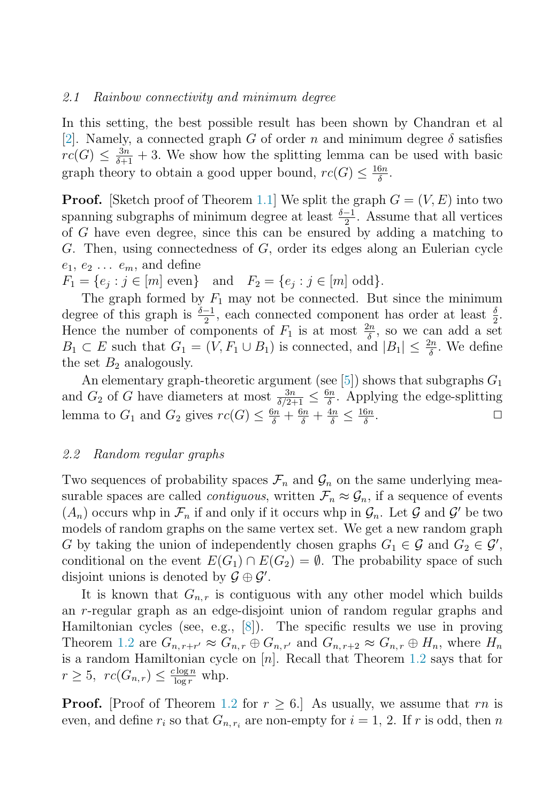#### 2.1 Rainbow connectivity and minimum degree

In this setting, the best possible result has been shown by Chandran et al [\[2\]](#page-7-2). Namely, a connected graph G of order n and minimum degree  $\delta$  satisfies  $rc(G) \leq \frac{3n}{\delta+1} + 3$ . We show how the splitting lemma can be used with basic graph theory to obtain a good upper bound,  $rc(G) \leq \frac{16n}{\delta}$ .

**Proof.** [Sketch proof of Theorem [1.1\]](#page-2-1) We split the graph  $G = (V, E)$  into two spanning subgraphs of minimum degree at least  $\frac{\delta-1}{2}$ . Assume that all vertices of G have even degree, since this can be ensured by adding a matching to G. Then, using connectedness of G, order its edges along an Eulerian cycle  $e_1, e_2 \ldots e_m$ , and define

 $F_1 = \{e_j : j \in [m] \text{ even}\}\$ and  $F_2 = \{e_j : j \in [m] \text{ odd}\}.$ 

The graph formed by  $F_1$  may not be connected. But since the minimum degree of this graph is  $\frac{\delta-1}{2}$ , each connected component has order at least  $\frac{\delta}{2}$ . Hence the number of components of  $F_1$  is at most  $\frac{2n}{\delta}$ , so we can add a set  $B_1 \subset E$  such that  $G_1 = (V, F_1 \cup B_1)$  is connected, and  $|B_1| \leq \frac{2n}{\delta}$ . We define the set  $B_2$  analogously.

An elementary graph-theoretic argument (see [\[5\]](#page-8-3)) shows that subgraphs  $G_1$ and  $G_2$  of G have diameters at most  $\frac{3n}{\delta/2+1} \leq \frac{6n}{\delta}$ . Applying the edge-splitting lemma to  $G_1$  and  $G_2$  gives  $rc(G) \leq \frac{6n}{\delta} + \frac{6n}{\delta} + \frac{4n}{\delta} \leq \frac{16n}{\delta}$  $\frac{6n}{\delta}$ .

#### 2.2 Random regular graphs

Two sequences of probability spaces  $\mathcal{F}_n$  and  $\mathcal{G}_n$  on the same underlying measurable spaces are called *contiguous*, written  $\mathcal{F}_n \approx \mathcal{G}_n$ , if a sequence of events  $(A_n)$  occurs whp in  $\mathcal{F}_n$  if and only if it occurs whp in  $\mathcal{G}_n$ . Let  $\mathcal G$  and  $\mathcal G'$  be two models of random graphs on the same vertex set. We get a new random graph G by taking the union of independently chosen graphs  $G_1 \in \mathcal{G}$  and  $G_2 \in \mathcal{G}'$ , conditional on the event  $E(G_1) \cap E(G_2) = \emptyset$ . The probability space of such disjoint unions is denoted by  $\mathcal{G} \oplus \mathcal{G}'$ .

It is known that  $G_{n,r}$  is contiguous with any other model which builds an r-regular graph as an edge-disjoint union of random regular graphs and Hamiltonian cycles (see, e.g., [\[8\]](#page-8-4)). The specific results we use in proving Theorem [1.2](#page-2-0) are  $G_{n,r+r'} \approx G_{n,r} \oplus G_{n,r'}$  and  $G_{n,r+2} \approx G_{n,r} \oplus H_n$ , where  $H_n$ is a random Hamiltonian cycle on  $[n]$ . Recall that Theorem [1.2](#page-2-0) says that for  $r \geq 5$ ,  $rc(G_{n,r}) \leq \frac{c \log n}{\log r}$  whp.

**Proof.** [Proof of Theorem [1.2](#page-2-0) for  $r \geq 6$ .] As usually, we assume that rn is even, and define  $r_i$  so that  $G_{n,r_i}$  are non-empty for  $i = 1, 2$ . If r is odd, then n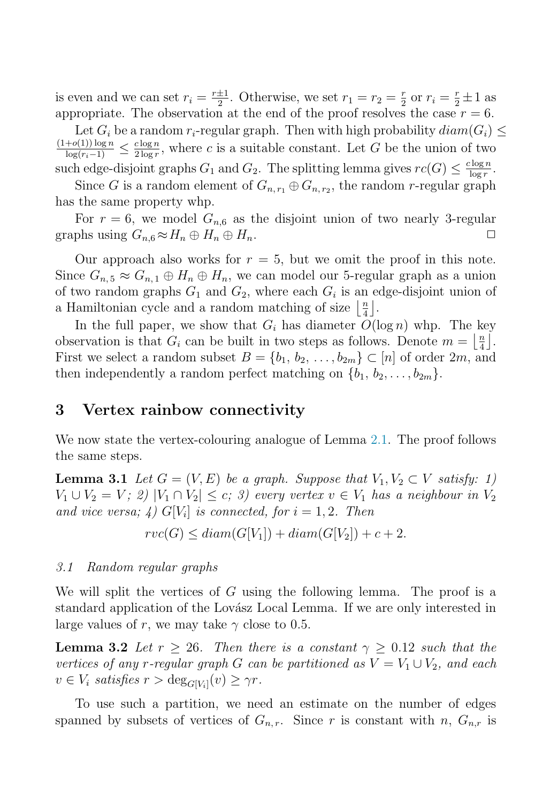is even and we can set  $r_i = \frac{r \pm 1}{2}$ . Otherwise, we set  $r_1 = r_2 = \frac{r}{2}$  or  $r_i = \frac{r}{2} \pm 1$  as appropriate. The observation at the end of the proof resolves the case  $r = 6$ .

Let  $G_i$  be a random  $r_i$ -regular graph. Then with high probability  $diam(G_i) \leq$  $\frac{(1+o(1))\log n}{\log(r_i-1)} \leq \frac{c\log n}{2\log r}$ , where c is a suitable constant. Let G be the union of two such edge-disjoint graphs  $G_1$  and  $G_2$ . The splitting lemma gives  $rc(G) \leq \frac{c \log n}{\log r}$ .

Since G is a random element of  $G_{n,r_1} \oplus G_{n,r_2}$ , the random r-regular graph has the same property whp.

For  $r = 6$ , we model  $G_{n,6}$  as the disjoint union of two nearly 3-regular graphs using  $G_{n,6} \approx H_n \oplus H_n \oplus H_n$ .

Our approach also works for  $r = 5$ , but we omit the proof in this note. Since  $G_{n,5} \approx G_{n,1} \oplus H_n \oplus H_n$ , we can model our 5-regular graph as a union of two random graphs  $G_1$  and  $G_2$ , where each  $G_i$  is an edge-disjoint union of a Hamiltonian cycle and a random matching of size  $\lfloor \frac{n}{4} \rfloor$ .

In the full paper, we show that  $G_i$  has diameter  $O(\log n)$  whp. The key observation is that  $G_i$  can be built in two steps as follows. Denote  $m = \left\lfloor \frac{n}{4} \right\rfloor$ . First we select a random subset  $B = \{b_1, b_2, \ldots, b_{2m}\} \subset [n]$  of order  $2m$ , and then independently a random perfect matching on  $\{b_1, b_2, \ldots, b_{2m}\}.$ 

### <span id="page-5-1"></span>3 Vertex rainbow connectivity

We now state the vertex-colouring analogue of Lemma [2.1.](#page-3-0) The proof follows the same steps.

**Lemma 3.1** Let  $G = (V, E)$  be a graph. Suppose that  $V_1, V_2 \subset V$  satisfy: 1)  $V_1 \cup V_2 = V$ ; 2)  $|V_1 \cap V_2| \leq c$ ; 3) every vertex  $v \in V_1$  has a neighbour in  $V_2$ and vice versa; 4)  $G[V_i]$  is connected, for  $i = 1, 2$ . Then

<span id="page-5-0"></span> $rvc(G) \leq diam(G[V_1]) + diam(G[V_2]) + c + 2.$ 

#### 3.1 Random regular graphs

We will split the vertices of  $G$  using the following lemma. The proof is a standard application of the Lovász Local Lemma. If we are only interested in large values of r, we may take  $\gamma$  close to 0.5.

**Lemma 3.2** Let  $r \geq 26$ . Then there is a constant  $\gamma \geq 0.12$  such that the vertices of any r-regular graph G can be partitioned as  $V = V_1 \cup V_2$ , and each  $v \in V_i$  satisfies  $r > \deg_{G[V_i]}(v) \geq \gamma r$ .

To use such a partition, we need an estimate on the number of edges spanned by subsets of vertices of  $G_{n,r}$ . Since r is constant with n,  $G_{n,r}$  is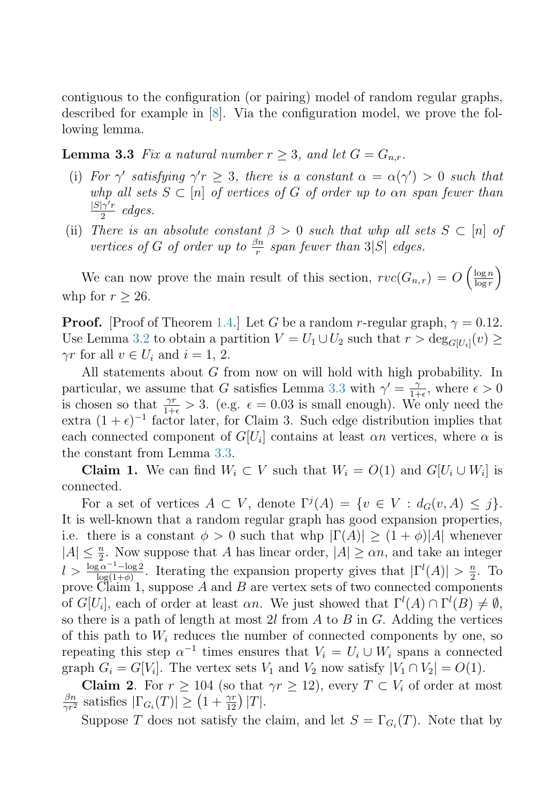<span id="page-6-0"></span>contiguous to the configuration (or pairing) model of random regular graphs, described for example in [\[8\]](#page-8-4). Via the configuration model, we prove the following lemma.

**Lemma 3.3** Fix a natural number  $r \geq 3$ , and let  $G = G_{n,r}$ .

- (i) For  $\gamma'$  satisfying  $\gamma' r \geq 3$ , there is a constant  $\alpha = \alpha(\gamma') > 0$  such that whp all sets  $S \subset [n]$  of vertices of G of order up to an span fewer than  $rac{|S|\gamma'r}{2}$  edges.
- (ii) There is an absolute constant  $\beta > 0$  such that whp all sets  $S \subset [n]$  of vertices of G of order up to  $\frac{\beta n}{r}$  span fewer than  $3|S|$  edges.

We can now prove the main result of this section,  $rvc(G_{n,r})=O\left(\frac{\log n}{\log r}\right)$ whp for  $r > 26$ .

**Proof.** [Proof of Theorem [1.4.](#page-3-1)] Let G be a random r-regular graph,  $\gamma = 0.12$ . Use Lemma [3.2](#page-5-0) to obtain a partition  $V = U_1 \cup U_2$  such that  $r > \deg_{G[U_i]}(v) \geq$  $\gamma r$  for all  $v \in U_i$  and  $i = 1, 2$ .

All statements about G from now on will hold with high probability. In particular, we assume that G satisfies Lemma [3.3](#page-6-0) with  $\gamma' = \frac{\gamma}{1+\epsilon}$ , where  $\epsilon > 0$ is chosen so that  $\frac{\gamma r}{1+\epsilon} > 3$ . (e.g.  $\epsilon = 0.03$  is small enough). We only need the extra  $(1 + \epsilon)^{-1}$  factor later, for Claim 3. Such edge distribution implies that each connected component of  $G[U_i]$  contains at least  $\alpha n$  vertices, where  $\alpha$  is the constant from Lemma [3.3.](#page-6-0)

**Claim 1.** We can find  $W_i \subset V$  such that  $W_i = O(1)$  and  $G[U_i \cup W_i]$  is connected.

For a set of vertices  $A \subset V$ , denote  $\Gamma^{j}(A) = \{v \in V : d_G(v, A) \leq j\}.$ It is well-known that a random regular graph has good expansion properties, i.e. there is a constant  $\phi > 0$  such that whp  $|\Gamma(A)| \geq (1 + \phi)|A|$  whenever  $|A| \leq \frac{n}{2}$ . Now suppose that A has linear order,  $|A| \geq \alpha n$ , and take an integer  $l > \frac{\log \alpha^{-1} - \log 2}{\log(1+\phi)}$ . Iterating the expansion property gives that  $|\Gamma^l(A)| > \frac{n}{2}$ . To prove  $\tilde{C}$ laim 1, suppose A and B are vertex sets of two connected components of  $G[U_i]$ , each of order at least  $\alpha n$ . We just showed that  $\Gamma^l(A) \cap \Gamma^l(B) \neq \emptyset$ , so there is a path of length at most 2l from  $A$  to  $B$  in  $G$ . Adding the vertices of this path to  $W_i$  reduces the number of connected components by one, so repeating this step  $\alpha^{-1}$  times ensures that  $V_i = U_i \cup W_i$  spans a connected graph  $G_i = G[V_i]$ . The vertex sets  $V_1$  and  $V_2$  now satisfy  $|V_1 \cap V_2| = O(1)$ .

**Claim 2.** For  $r \ge 104$  (so that  $\gamma r \ge 12$ ), every  $T \subset V_i$  of order at most  $\frac{\beta n}{\gamma r^2}$  satisfies  $|\Gamma_{G_i}(T)| \geq (1 + \frac{\gamma r}{12}) |T|$ .

Suppose T does not satisfy the claim, and let  $S = \Gamma_{G_i}(T)$ . Note that by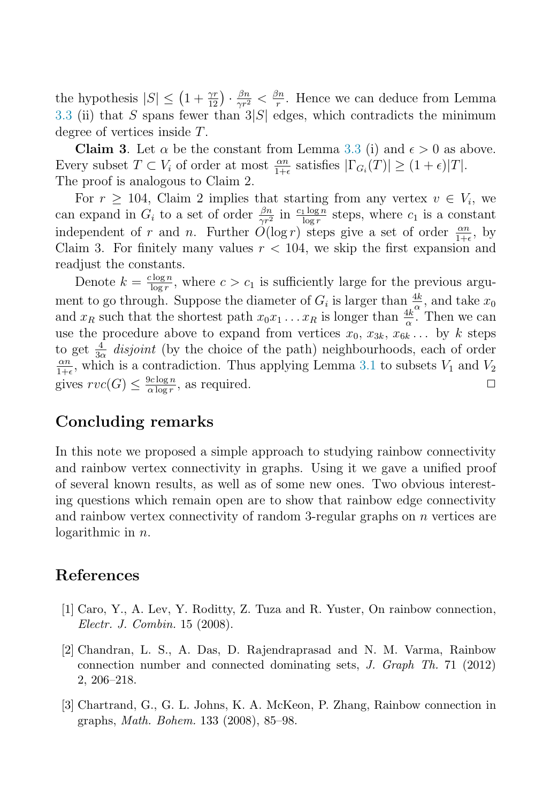the hypothesis  $|S| \leq (1 + \frac{\gamma r}{12}) \cdot \frac{\beta n}{\gamma r^2} < \frac{\beta n}{r}$ . Hence we can deduce from Lemma [3.3](#page-6-0) (ii) that S spans fewer than  $3|S|$  edges, which contradicts the minimum degree of vertices inside T.

**Claim 3.** Let  $\alpha$  be the constant from Lemma [3.3](#page-6-0) (i) and  $\epsilon > 0$  as above. Every subset  $T \subset V_i$  of order at most  $\frac{\alpha n}{1+\epsilon}$  satisfies  $|\Gamma_{G_i}(T)| \geq (1+\epsilon)|T|$ . The proof is analogous to Claim 2.

For  $r \geq 104$ , Claim 2 implies that starting from any vertex  $v \in V_i$ , we can expand in  $G_i$  to a set of order  $\frac{\beta n}{\gamma r^2}$  in  $\frac{c_1 \log n}{\log r}$  steps, where  $c_1$  is a constant independent of r and n. Further  $O(\log r)$  steps give a set of order  $\frac{\alpha n}{1+\epsilon}$ , by Claim 3. For finitely many values  $r < 104$ , we skip the first expansion and readjust the constants.

Denote  $k = \frac{c \log n}{\log r}$ , where  $c > c_1$  is sufficiently large for the previous argument to go through. Suppose the diameter of  $G_i$  is larger than  $\frac{4k}{\alpha}$ , and take  $x_0$ and  $x_R$  such that the shortest path  $x_0x_1 \ldots x_R$  is longer than  $\frac{4k}{\alpha}$ . Then we can use the procedure above to expand from vertices  $x_0, x_{3k}, x_{6k} \dots$  by k steps to get  $\frac{4}{3\alpha}$  disjoint (by the choice of the path) neighbourhoods, each of order  $\frac{\alpha n}{\alpha n}$  which is a contradiction. Thus applying Lemma 3.1 to subsets *V*, and *V*.  $\frac{\alpha n}{1+\epsilon}$ , which is a contradiction. Thus applying Lemma [3.1](#page-5-1) to subsets  $V_1$  and  $V_2$ gives  $rvc(G) \leq \frac{9c \log n}{\alpha \log r}$ , as required.

### Concluding remarks

In this note we proposed a simple approach to studying rainbow connectivity and rainbow vertex connectivity in graphs. Using it we gave a unified proof of several known results, as well as of some new ones. Two obvious interesting questions which remain open are to show that rainbow edge connectivity and rainbow vertex connectivity of random 3-regular graphs on  $n$  vertices are logarithmic in  $n$ .

## <span id="page-7-2"></span><span id="page-7-1"></span>References

- [1] Caro, Y., A. Lev, Y. Roditty, Z. Tuza and R. Yuster, On rainbow connection, *Electr. J. Combin.* 15 (2008).
- <span id="page-7-0"></span>[2] Chandran, L. S., A. Das, D. Rajendraprasad and N. M. Varma, Rainbow connection number and connected dominating sets, *J. Graph Th.* 71 (2012) 2, 206–218.
- [3] Chartrand, G., G. L. Johns, K. A. McKeon, P. Zhang, Rainbow connection in graphs, *Math. Bohem.* 133 (2008), 85–98.